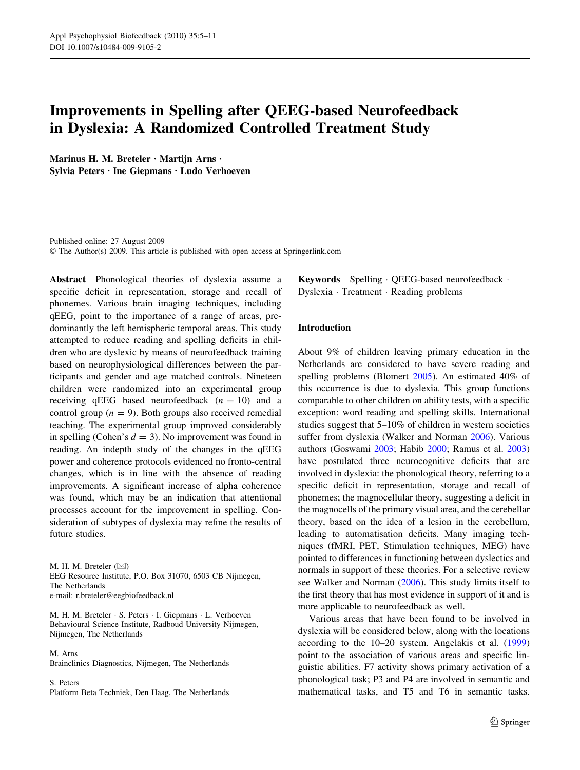# Improvements in Spelling after QEEG-based Neurofeedback in Dyslexia: A Randomized Controlled Treatment Study

Marinus H. M. Breteler  $\cdot$  Martijn Arns  $\cdot$ Sylvia Peters · Ine Giepmans · Ludo Verhoeven

Published online: 27 August 2009  $\odot$  The Author(s) 2009. This article is published with open access at Springerlink.com

Abstract Phonological theories of dyslexia assume a specific deficit in representation, storage and recall of phonemes. Various brain imaging techniques, including qEEG, point to the importance of a range of areas, predominantly the left hemispheric temporal areas. This study attempted to reduce reading and spelling deficits in children who are dyslexic by means of neurofeedback training based on neurophysiological differences between the participants and gender and age matched controls. Nineteen children were randomized into an experimental group receiving qEEG based neurofeedback  $(n = 10)$  and a control group ( $n = 9$ ). Both groups also received remedial teaching. The experimental group improved considerably in spelling (Cohen's  $d = 3$ ). No improvement was found in reading. An indepth study of the changes in the qEEG power and coherence protocols evidenced no fronto-central changes, which is in line with the absence of reading improvements. A significant increase of alpha coherence was found, which may be an indication that attentional processes account for the improvement in spelling. Consideration of subtypes of dyslexia may refine the results of future studies.

M. H. M. Breteler  $(\boxtimes)$ 

EEG Resource Institute, P.O. Box 31070, 6503 CB Nijmegen, The Netherlands e-mail: r.breteler@eegbiofeedback.nl

M. H. M. Breteler · S. Peters · I. Giepmans · L. Verhoeven Behavioural Science Institute, Radboud University Nijmegen, Nijmegen, The Netherlands

M. Arns Brainclinics Diagnostics, Nijmegen, The Netherlands

S. Peters Platform Beta Techniek, Den Haag, The Netherlands **Keywords** Spelling  $\cdot$  OEEG-based neurofeedback  $\cdot$ Dyslexia · Treatment · Reading problems

# Introduction

About 9% of children leaving primary education in the Netherlands are considered to have severe reading and spelling problems (Blomert [2005](#page-5-0)). An estimated 40% of this occurrence is due to dyslexia. This group functions comparable to other children on ability tests, with a specific exception: word reading and spelling skills. International studies suggest that 5–10% of children in western societies suffer from dyslexia (Walker and Norman [2006](#page-6-0)). Various authors (Goswami [2003](#page-5-0); Habib [2000;](#page-5-0) Ramus et al. [2003\)](#page-5-0) have postulated three neurocognitive deficits that are involved in dyslexia: the phonological theory, referring to a specific deficit in representation, storage and recall of phonemes; the magnocellular theory, suggesting a deficit in the magnocells of the primary visual area, and the cerebellar theory, based on the idea of a lesion in the cerebellum, leading to automatisation deficits. Many imaging techniques (fMRI, PET, Stimulation techniques, MEG) have pointed to differences in functioning between dyslectics and normals in support of these theories. For a selective review see Walker and Norman [\(2006\)](#page-6-0). This study limits itself to the first theory that has most evidence in support of it and is more applicable to neurofeedback as well.

Various areas that have been found to be involved in dyslexia will be considered below, along with the locations according to the 10–20 system. Angelakis et al. ([1999\)](#page-5-0) point to the association of various areas and specific linguistic abilities. F7 activity shows primary activation of a phonological task; P3 and P4 are involved in semantic and mathematical tasks, and T5 and T6 in semantic tasks.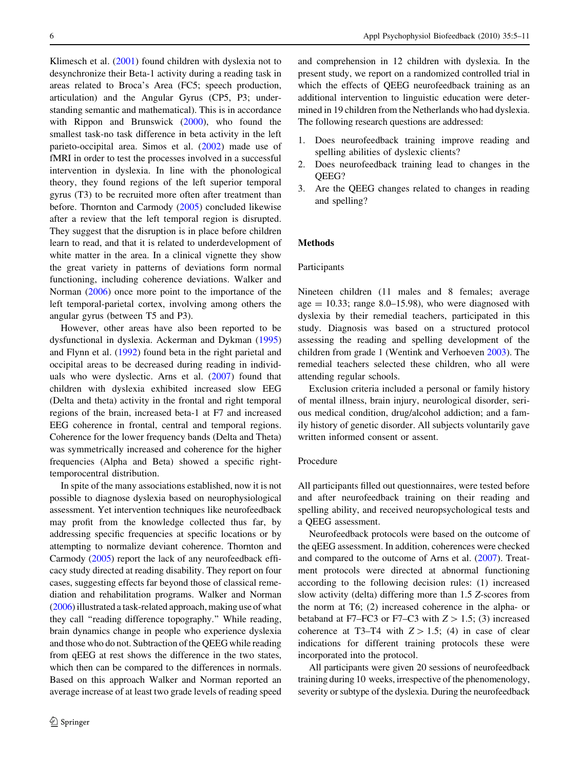Klimesch et al. [\(2001](#page-5-0)) found children with dyslexia not to desynchronize their Beta-1 activity during a reading task in areas related to Broca's Area (FC5; speech production, articulation) and the Angular Gyrus (CP5, P3; understanding semantic and mathematical). This is in accordance with Rippon and Brunswick ([2000\)](#page-6-0), who found the smallest task-no task difference in beta activity in the left parieto-occipital area. Simos et al. [\(2002](#page-6-0)) made use of fMRI in order to test the processes involved in a successful intervention in dyslexia. In line with the phonological theory, they found regions of the left superior temporal gyrus (T3) to be recruited more often after treatment than before. Thornton and Carmody ([2005\)](#page-6-0) concluded likewise after a review that the left temporal region is disrupted. They suggest that the disruption is in place before children learn to read, and that it is related to underdevelopment of white matter in the area. In a clinical vignette they show the great variety in patterns of deviations form normal functioning, including coherence deviations. Walker and Norman ([2006\)](#page-6-0) once more point to the importance of the left temporal-parietal cortex, involving among others the angular gyrus (between T5 and P3).

However, other areas have also been reported to be dysfunctional in dyslexia. Ackerman and Dykman ([1995\)](#page-5-0) and Flynn et al. [\(1992](#page-5-0)) found beta in the right parietal and occipital areas to be decreased during reading in individuals who were dyslectic. Arns et al. [\(2007](#page-5-0)) found that children with dyslexia exhibited increased slow EEG (Delta and theta) activity in the frontal and right temporal regions of the brain, increased beta-1 at F7 and increased EEG coherence in frontal, central and temporal regions. Coherence for the lower frequency bands (Delta and Theta) was symmetrically increased and coherence for the higher frequencies (Alpha and Beta) showed a specific righttemporocentral distribution.

In spite of the many associations established, now it is not possible to diagnose dyslexia based on neurophysiological assessment. Yet intervention techniques like neurofeedback may profit from the knowledge collected thus far, by addressing specific frequencies at specific locations or by attempting to normalize deviant coherence. Thornton and Carmody [\(2005](#page-6-0)) report the lack of any neurofeedback efficacy study directed at reading disability. They report on four cases, suggesting effects far beyond those of classical remediation and rehabilitation programs. Walker and Norman [\(2006](#page-6-0)) illustrated a task-related approach, making use of what they call ''reading difference topography.'' While reading, brain dynamics change in people who experience dyslexia and those who do not. Subtraction of the QEEG while reading from qEEG at rest shows the difference in the two states, which then can be compared to the differences in normals. Based on this approach Walker and Norman reported an average increase of at least two grade levels of reading speed

and comprehension in 12 children with dyslexia. In the present study, we report on a randomized controlled trial in which the effects of QEEG neurofeedback training as an additional intervention to linguistic education were determined in 19 children from the Netherlands who had dyslexia. The following research questions are addressed:

- 1. Does neurofeedback training improve reading and spelling abilities of dyslexic clients?
- 2. Does neurofeedback training lead to changes in the QEEG?
- 3. Are the QEEG changes related to changes in reading and spelling?

# Methods

## Participants

Nineteen children (11 males and 8 females; average age  $= 10.33$ ; range 8.0–15.98), who were diagnosed with dyslexia by their remedial teachers, participated in this study. Diagnosis was based on a structured protocol assessing the reading and spelling development of the children from grade 1 (Wentink and Verhoeven [2003](#page-6-0)). The remedial teachers selected these children, who all were attending regular schools.

Exclusion criteria included a personal or family history of mental illness, brain injury, neurological disorder, serious medical condition, drug/alcohol addiction; and a family history of genetic disorder. All subjects voluntarily gave written informed consent or assent.

## Procedure

All participants filled out questionnaires, were tested before and after neurofeedback training on their reading and spelling ability, and received neuropsychological tests and a QEEG assessment.

Neurofeedback protocols were based on the outcome of the qEEG assessment. In addition, coherences were checked and compared to the outcome of Arns et al. ([2007\)](#page-5-0). Treatment protocols were directed at abnormal functioning according to the following decision rules: (1) increased slow activity (delta) differing more than 1.5 Z-scores from the norm at T6; (2) increased coherence in the alpha- or betaband at F7–FC3 or F7–C3 with  $Z > 1.5$ ; (3) increased coherence at T3–T4 with  $Z > 1.5$ ; (4) in case of clear indications for different training protocols these were incorporated into the protocol.

All participants were given 20 sessions of neurofeedback training during 10 weeks, irrespective of the phenomenology, severity or subtype of the dyslexia. During the neurofeedback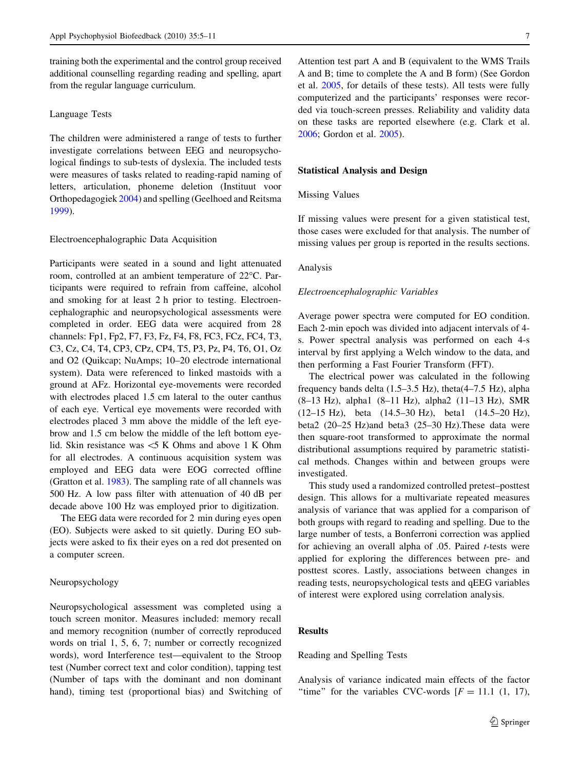training both the experimental and the control group received additional counselling regarding reading and spelling, apart from the regular language curriculum.

## Language Tests

The children were administered a range of tests to further investigate correlations between EEG and neuropsychological findings to sub-tests of dyslexia. The included tests were measures of tasks related to reading-rapid naming of letters, articulation, phoneme deletion (Instituut voor Orthopedagogiek [2004](#page-5-0)) and spelling (Geelhoed and Reitsma [1999\)](#page-5-0).

# Electroencephalographic Data Acquisition

Participants were seated in a sound and light attenuated room, controlled at an ambient temperature of 22°C. Participants were required to refrain from caffeine, alcohol and smoking for at least 2 h prior to testing. Electroencephalographic and neuropsychological assessments were completed in order. EEG data were acquired from 28 channels: Fp1, Fp2, F7, F3, Fz, F4, F8, FC3, FCz, FC4, T3, C3, Cz, C4, T4, CP3, CPz, CP4, T5, P3, Pz, P4, T6, O1, Oz and O2 (Quikcap; NuAmps; 10–20 electrode international system). Data were referenced to linked mastoids with a ground at AFz. Horizontal eye-movements were recorded with electrodes placed 1.5 cm lateral to the outer canthus of each eye. Vertical eye movements were recorded with electrodes placed 3 mm above the middle of the left eyebrow and 1.5 cm below the middle of the left bottom eyelid. Skin resistance was \5 K Ohms and above 1 K Ohm for all electrodes. A continuous acquisition system was employed and EEG data were EOG corrected offline (Gratton et al. [1983](#page-5-0)). The sampling rate of all channels was 500 Hz. A low pass filter with attenuation of 40 dB per decade above 100 Hz was employed prior to digitization.

The EEG data were recorded for 2 min during eyes open (EO). Subjects were asked to sit quietly. During EO subjects were asked to fix their eyes on a red dot presented on a computer screen.

## Neuropsychology

Neuropsychological assessment was completed using a touch screen monitor. Measures included: memory recall and memory recognition (number of correctly reproduced words on trial 1, 5, 6, 7; number or correctly recognized words), word Interference test—equivalent to the Stroop test (Number correct text and color condition), tapping test (Number of taps with the dominant and non dominant hand), timing test (proportional bias) and Switching of Attention test part A and B (equivalent to the WMS Trails A and B; time to complete the A and B form) (See Gordon et al. [2005](#page-5-0), for details of these tests). All tests were fully computerized and the participants' responses were recorded via touch-screen presses. Reliability and validity data on these tasks are reported elsewhere (e.g. Clark et al. [2006](#page-5-0); Gordon et al. [2005\)](#page-5-0).

#### Statistical Analysis and Design

# Missing Values

If missing values were present for a given statistical test, those cases were excluded for that analysis. The number of missing values per group is reported in the results sections.

#### Analysis

## Electroencephalographic Variables

Average power spectra were computed for EO condition. Each 2-min epoch was divided into adjacent intervals of 4 s. Power spectral analysis was performed on each 4-s interval by first applying a Welch window to the data, and then performing a Fast Fourier Transform (FFT).

The electrical power was calculated in the following frequency bands delta (1.5–3.5 Hz), theta(4–7.5 Hz), alpha (8–13 Hz), alpha1 (8–11 Hz), alpha2 (11–13 Hz), SMR (12–15 Hz), beta (14.5–30 Hz), beta1 (14.5–20 Hz), beta2 (20–25 Hz)and beta3 (25–30 Hz).These data were then square-root transformed to approximate the normal distributional assumptions required by parametric statistical methods. Changes within and between groups were investigated.

This study used a randomized controlled pretest–posttest design. This allows for a multivariate repeated measures analysis of variance that was applied for a comparison of both groups with regard to reading and spelling. Due to the large number of tests, a Bonferroni correction was applied for achieving an overall alpha of .05. Paired t-tests were applied for exploring the differences between pre- and posttest scores. Lastly, associations between changes in reading tests, neuropsychological tests and qEEG variables of interest were explored using correlation analysis.

# **Results**

Reading and Spelling Tests

Analysis of variance indicated main effects of the factor "time" for the variables CVC-words  $[F = 11.1 (1, 17)]$ ,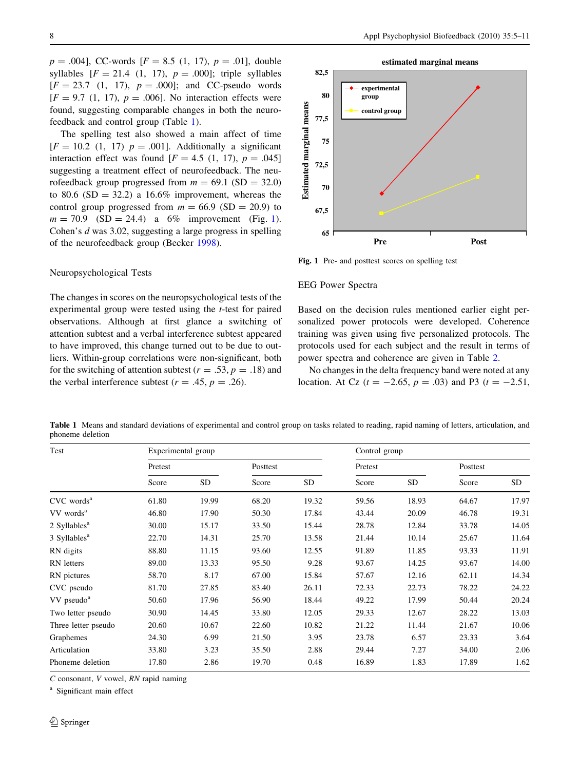$p = .004$ ], CC-words [ $F = 8.5$  (1, 17),  $p = .01$ ], double syllables  $[F = 21.4 (1, 17), p = .000]$ ; triple syllables  $[F = 23.7 (1, 17), p = .000]$ ; and CC-pseudo words  $[F = 9.7 (1, 17), p = .006]$ . No interaction effects were found, suggesting comparable changes in both the neurofeedback and control group (Table 1).

The spelling test also showed a main affect of time  $[F = 10.2 \t(1, 17)$   $p = .001$ . Additionally a significant interaction effect was found  $[F = 4.5 (1, 17), p = .045]$ suggesting a treatment effect of neurofeedback. The neurofeedback group progressed from  $m = 69.1$  (SD = 32.0) to 80.6 (SD = 32.2) a 16.6% improvement, whereas the control group progressed from  $m = 66.9$  (SD = 20.9) to  $m = 70.9$  (SD = 24.4) a 6% improvement (Fig. 1). Cohen's d was 3.02, suggesting a large progress in spelling of the neurofeedback group (Becker [1998](#page-5-0)).

## Neuropsychological Tests

The changes in scores on the neuropsychological tests of the experimental group were tested using the t-test for paired observations. Although at first glance a switching of attention subtest and a verbal interference subtest appeared to have improved, this change turned out to be due to outliers. Within-group correlations were non-significant, both for the switching of attention subtest ( $r = .53$ ,  $p = .18$ ) and the verbal interference subtest ( $r = .45$ ,  $p = .26$ ).



Fig. 1 Pre- and posttest scores on spelling test

## EEG Power Spectra

Based on the decision rules mentioned earlier eight personalized power protocols were developed. Coherence training was given using five personalized protocols. The protocols used for each subject and the result in terms of power spectra and coherence are given in Table [2](#page-4-0).

No changes in the delta frequency band were noted at any location. At Cz ( $t = -2.65$ ,  $p = .03$ ) and P3 ( $t = -2.51$ ,

Table 1 Means and standard deviations of experimental and control group on tasks related to reading, rapid naming of letters, articulation, and phoneme deletion

| Test                       | Experimental group |       |          | Control group |         |       |          |       |
|----------------------------|--------------------|-------|----------|---------------|---------|-------|----------|-------|
|                            | Pretest            |       | Posttest |               | Pretest |       | Posttest |       |
|                            | Score              | SD    | Score    | <b>SD</b>     | Score   | SD    | Score    | SD    |
| $CVC$ words <sup>a</sup>   | 61.80              | 19.99 | 68.20    | 19.32         | 59.56   | 18.93 | 64.67    | 17.97 |
| VV words <sup>a</sup>      | 46.80              | 17.90 | 50.30    | 17.84         | 43.44   | 20.09 | 46.78    | 19.31 |
| $2$ Syllables <sup>a</sup> | 30.00              | 15.17 | 33.50    | 15.44         | 28.78   | 12.84 | 33.78    | 14.05 |
| 3 Syllables <sup>a</sup>   | 22.70              | 14.31 | 25.70    | 13.58         | 21.44   | 10.14 | 25.67    | 11.64 |
| RN digits                  | 88.80              | 11.15 | 93.60    | 12.55         | 91.89   | 11.85 | 93.33    | 11.91 |
| RN letters                 | 89.00              | 13.33 | 95.50    | 9.28          | 93.67   | 14.25 | 93.67    | 14.00 |
| RN pictures                | 58.70              | 8.17  | 67.00    | 15.84         | 57.67   | 12.16 | 62.11    | 14.34 |
| CVC pseudo                 | 81.70              | 27.85 | 83.40    | 26.11         | 72.33   | 22.73 | 78.22    | 24.22 |
| VV pseudo <sup>a</sup>     | 50.60              | 17.96 | 56.90    | 18.44         | 49.22   | 17.99 | 50.44    | 20.24 |
| Two letter pseudo          | 30.90              | 14.45 | 33.80    | 12.05         | 29.33   | 12.67 | 28.22    | 13.03 |
| Three letter pseudo        | 20.60              | 10.67 | 22.60    | 10.82         | 21.22   | 11.44 | 21.67    | 10.06 |
| Graphemes                  | 24.30              | 6.99  | 21.50    | 3.95          | 23.78   | 6.57  | 23.33    | 3.64  |
| Articulation               | 33.80              | 3.23  | 35.50    | 2.88          | 29.44   | 7.27  | 34.00    | 2.06  |
| Phoneme deletion           | 17.80              | 2.86  | 19.70    | 0.48          | 16.89   | 1.83  | 17.89    | 1.62  |

C consonant, V vowel, RN rapid naming

<sup>a</sup> Significant main effect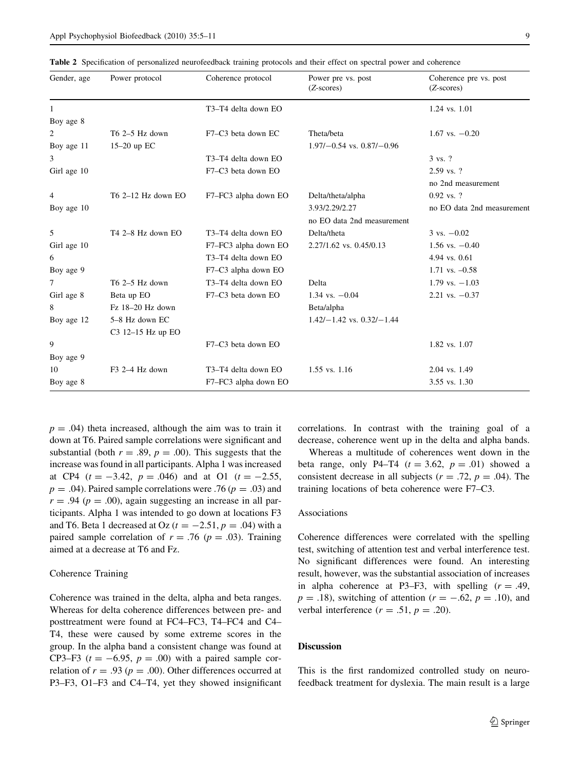<span id="page-4-0"></span>

|  |  |  |  | Table 2 Specification of personalized neurofeedback training protocols and their effect on spectral power and coherence |  |  |  |  |  |  |
|--|--|--|--|-------------------------------------------------------------------------------------------------------------------------|--|--|--|--|--|--|
|--|--|--|--|-------------------------------------------------------------------------------------------------------------------------|--|--|--|--|--|--|

| Gender, age  | Power protocol       | Coherence protocol                           | Power pre vs. post<br>$(Z\text{-}scores)$ | Coherence pre vs. post<br>$(Z\text{-}scores)$ |
|--------------|----------------------|----------------------------------------------|-------------------------------------------|-----------------------------------------------|
| $\mathbf{1}$ |                      | T3-T4 delta down EO                          |                                           | 1.24 vs. 1.01                                 |
| Boy age 8    |                      |                                              |                                           |                                               |
| 2            | $T6$ 2–5 Hz down     | F7-C3 beta down EC                           | Theta/beta                                | $1.67$ vs. $-0.20$                            |
| Boy age 11   | $15-20$ up EC        |                                              | $1.97/-0.54$ vs. $0.87/-0.96$             |                                               |
| 3            |                      | T <sub>3</sub> -T <sub>4</sub> delta down EQ |                                           | 3 vs. ?                                       |
| Girl age 10  |                      | F7-C3 beta down EO                           |                                           | $2.59$ vs. ?                                  |
|              |                      |                                              |                                           | no 2nd measurement                            |
| 4            | $T6$ 2-12 Hz down EO | F7-FC3 alpha down EO                         | Delta/theta/alpha                         | $0.92$ vs. ?                                  |
| Boy age 10   |                      |                                              | 3.93/2.29/2.27                            | no EO data 2nd measurement                    |
|              |                      |                                              | no EO data 2nd measurement                |                                               |
| 5            | T4 2-8 Hz down EO    | T3-T4 delta down EO                          | Delta/theta                               | $3 \text{ vs. } -0.02$                        |
| Girl age 10  |                      | F7-FC3 alpha down EO                         | 2.27/1.62 vs. 0.45/0.13                   | $1.56$ vs. $-0.40$                            |
| 6            |                      | T3-T4 delta down EO                          |                                           | 4.94 vs. 0.61                                 |
| Boy age 9    |                      | F7-C3 alpha down EO                          |                                           | $1.71$ vs. $-0.58$                            |
| 7            | $T6$ 2–5 Hz down     | T3-T4 delta down EO                          | Delta                                     | $1.79$ vs. $-1.03$                            |
| Girl age 8   | Beta up EO           | F7-C3 beta down EO                           | $1.34$ vs. $-0.04$                        | $2.21$ vs. $-0.37$                            |
| 8            | Fz 18-20 Hz down     |                                              | Beta/alpha                                |                                               |
| Boy age 12   | 5-8 Hz down EC       |                                              | $1.42/-1.42$ vs. $0.32/-1.44$             |                                               |
|              | $C3$ 12-15 Hz up EO  |                                              |                                           |                                               |
| 9            |                      | F7-C3 beta down EO                           |                                           | 1.82 vs. 1.07                                 |
| Boy age 9    |                      |                                              |                                           |                                               |
| 10           | $F3$ 2-4 Hz down     | T3-T4 delta down EO                          | 1.55 vs. 1.16                             | 2.04 vs. 1.49                                 |
| Boy age 8    |                      | F7-FC3 alpha down EO                         |                                           | 3.55 vs. 1.30                                 |

 $p = .04$ ) theta increased, although the aim was to train it down at T6. Paired sample correlations were significant and substantial (both  $r = .89$ ,  $p = .00$ ). This suggests that the increase was found in all participants. Alpha 1 was increased at CP4  $(t = -3.42, p = .046)$  and at O1  $(t = -2.55,$  $p = .04$ ). Paired sample correlations were .76 ( $p = .03$ ) and  $r = .94$  ( $p = .00$ ), again suggesting an increase in all participants. Alpha 1 was intended to go down at locations F3 and T6. Beta 1 decreased at Oz ( $t = -2.51$ ,  $p = .04$ ) with a paired sample correlation of  $r = .76$  ( $p = .03$ ). Training aimed at a decrease at T6 and Fz.

## Coherence Training

Coherence was trained in the delta, alpha and beta ranges. Whereas for delta coherence differences between pre- and posttreatment were found at FC4–FC3, T4–FC4 and C4– T4, these were caused by some extreme scores in the group. In the alpha band a consistent change was found at CP3–F3 ( $t = -6.95$ ,  $p = .00$ ) with a paired sample correlation of  $r = .93$  ( $p = .00$ ). Other differences occurred at P3–F3, O1–F3 and C4–T4, yet they showed insignificant correlations. In contrast with the training goal of a decrease, coherence went up in the delta and alpha bands.

Whereas a multitude of coherences went down in the beta range, only P4–T4  $(t = 3.62, p = .01)$  showed a consistent decrease in all subjects ( $r = .72$ ,  $p = .04$ ). The training locations of beta coherence were F7–C3.

## Associations

Coherence differences were correlated with the spelling test, switching of attention test and verbal interference test. No significant differences were found. An interesting result, however, was the substantial association of increases in alpha coherence at P3–F3, with spelling  $(r = .49, )$  $p = .18$ ), switching of attention ( $r = -.62$ ,  $p = .10$ ), and verbal interference  $(r = .51, p = .20)$ .

# Discussion

This is the first randomized controlled study on neurofeedback treatment for dyslexia. The main result is a large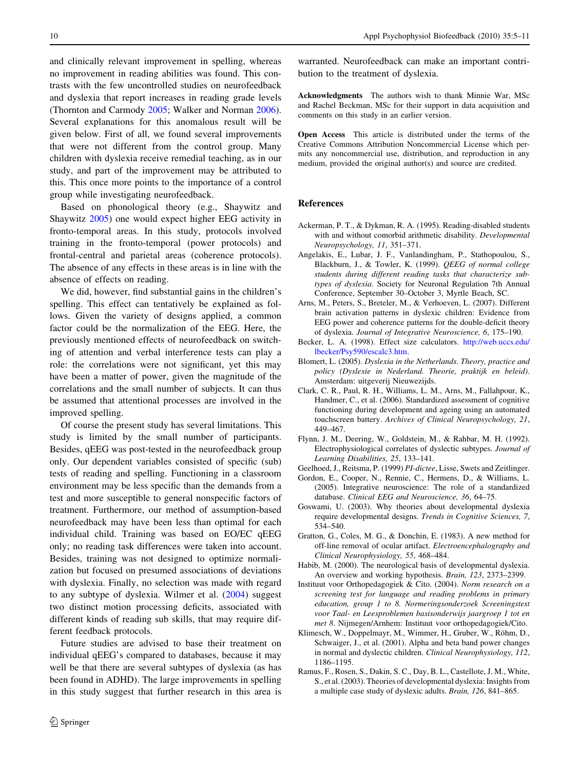<span id="page-5-0"></span>and clinically relevant improvement in spelling, whereas no improvement in reading abilities was found. This contrasts with the few uncontrolled studies on neurofeedback and dyslexia that report increases in reading grade levels (Thornton and Carmody [2005](#page-6-0); Walker and Norman [2006](#page-6-0)). Several explanations for this anomalous result will be given below. First of all, we found several improvements that were not different from the control group. Many children with dyslexia receive remedial teaching, as in our study, and part of the improvement may be attributed to this. This once more points to the importance of a control group while investigating neurofeedback.

Based on phonological theory (e.g., Shaywitz and Shaywitz [2005\)](#page-6-0) one would expect higher EEG activity in fronto-temporal areas. In this study, protocols involved training in the fronto-temporal (power protocols) and frontal-central and parietal areas (coherence protocols). The absence of any effects in these areas is in line with the absence of effects on reading.

We did, however, find substantial gains in the children's spelling. This effect can tentatively be explained as follows. Given the variety of designs applied, a common factor could be the normalization of the EEG. Here, the previously mentioned effects of neurofeedback on switching of attention and verbal interference tests can play a role: the correlations were not significant, yet this may have been a matter of power, given the magnitude of the correlations and the small number of subjects. It can thus be assumed that attentional processes are involved in the improved spelling.

Of course the present study has several limitations. This study is limited by the small number of participants. Besides, qEEG was post-tested in the neurofeedback group only. Our dependent variables consisted of specific (sub) tests of reading and spelling. Functioning in a classroom environment may be less specific than the demands from a test and more susceptible to general nonspecific factors of treatment. Furthermore, our method of assumption-based neurofeedback may have been less than optimal for each individual child. Training was based on EO/EC qEEG only; no reading task differences were taken into account. Besides, training was not designed to optimize normalization but focused on presumed associations of deviations with dyslexia. Finally, no selection was made with regard to any subtype of dyslexia. Wilmer et al. ([2004\)](#page-6-0) suggest two distinct motion processing deficits, associated with different kinds of reading sub skills, that may require different feedback protocols.

Future studies are advised to base their treatment on individual qEEG's compared to databases, because it may well be that there are several subtypes of dyslexia (as has been found in ADHD). The large improvements in spelling in this study suggest that further research in this area is

warranted. Neurofeedback can make an important contribution to the treatment of dyslexia.

Acknowledgments The authors wish to thank Minnie War, MSc and Rachel Beckman, MSc for their support in data acquisition and comments on this study in an earlier version.

Open Access This article is distributed under the terms of the Creative Commons Attribution Noncommercial License which permits any noncommercial use, distribution, and reproduction in any medium, provided the original author(s) and source are credited.

#### **References**

- Ackerman, P. T., & Dykman, R. A. (1995). Reading-disabled students with and without comorbid arithmetic disability. Developmental Neuropsychology, 11, 351–371.
- Angelakis, E., Lubar, J. F., Vanlandingham, P., Stathopoulou, S., Blackburn, J., & Towler, K. (1999). QEEG of normal college students during different reading tasks that characterize subtypes of dyslexia. Society for Neuronal Regulation 7th Annual Conference, September 30–October 3, Myrtle Beach, SC.
- Arns, M., Peters, S., Breteler, M., & Verhoeven, L. (2007). Different brain activation patterns in dyslexic children: Evidence from EEG power and coherence patterns for the double-deficit theory of dyslexia. Journal of Integrative Neuroscience, 6, 175–190.
- Becker, L. A. (1998). Effect size calculators. [http://web.uccs.edu/](http://web.uccs.edu/lbecker/Psy590/escalc3.htm) [lbecker/Psy590/escalc3.htm](http://web.uccs.edu/lbecker/Psy590/escalc3.htm).
- Blomert, L. (2005). Dyslexia in the Netherlands. Theory, practice and policy (Dyslexie in Nederland. Theorie, praktijk en beleid). Amsterdam: uitgeverij Nieuwezijds.
- Clark, C. R., Paul, R. H., Williams, L. M., Arns, M., Fallahpour, K., Handmer, C., et al. (2006). Standardized assessment of cognitive functioning during development and ageing using an automated touchscreen battery. Archives of Clinical Neuropsychology, 21, 449–467.
- Flynn, J. M., Deering, W., Goldstein, M., & Rahbar, M. H. (1992). Electrophysiological correlates of dyslectic subtypes. Journal of Learning Disabilities, 25, 133–141.
- Geelhoed, J., Reitsma, P. (1999) PI-dictee, Lisse, Swets and Zeitlinger.
- Gordon, E., Cooper, N., Rennie, C., Hermens, D., & Williams, L. (2005). Integrative neuroscience: The role of a standardized database. Clinical EEG and Neuroscience, 36, 64–75.
- Goswami, U. (2003). Why theories about developmental dyslexia require developmental designs. Trends in Cognitive Sciences, 7, 534–540.
- Gratton, G., Coles, M. G., & Donchin, E. (1983). A new method for off-line removal of ocular artifact. Electroencephalography and Clinical Neurophysiology, 55, 468–484.
- Habib, M. (2000). The neurological basis of developmental dyslexia. An overview and working hypothesis. Brain, 123, 2373–2399.
- Instituut voor Orthopedagogiek & Cito. (2004). Norm research on a screening test for language and reading problems in primary education, group 1 to 8. Normeringsonderzoek Screeningstest voor Taal- en Leesproblemen basisonderwijs jaargroep 1 tot en met 8. Nijmegen/Arnhem: Instituut voor orthopedagogiek/Cito.
- Klimesch, W., Doppelmayr, M., Wimmer, H., Gruber, W., Röhm, D., Schwaiger, J., et al. (2001). Alpha and beta band power changes in normal and dyslectic children. Clinical Neurophysiology, 112, 1186–1195.
- Ramus, F., Rosen, S., Dakin, S. C., Day, B. L., Castellote, J. M., White, S., et al. (2003). Theories of developmental dyslexia: Insights from a multiple case study of dyslexic adults. Brain, 126, 841–865.